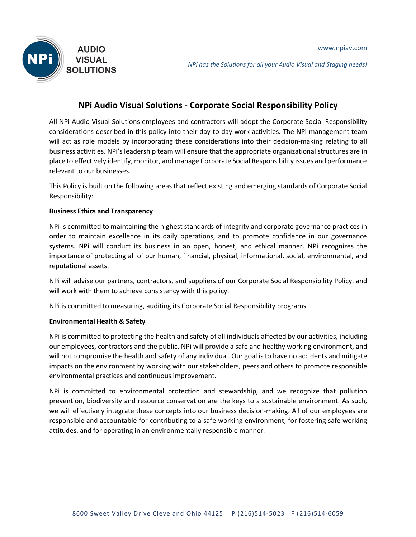

*NPi has the Solutions for all your Audio Visual and Staging needs!*

# **NPi Audio Visual Solutions - Corporate Social Responsibility Policy**

All NPi Audio Visual Solutions employees and contractors will adopt the Corporate Social Responsibility considerations described in this policy into their day-to-day work activities. The NPi management team will act as role models by incorporating these considerations into their decision-making relating to all business activities. NPi's leadership team will ensure that the appropriate organizational structures are in place to effectively identify, monitor, and manage Corporate Social Responsibility issues and performance relevant to our businesses.

This Policy is built on the following areas that reflect existing and emerging standards of Corporate Social Responsibility:

## **Business Ethics and Transparency**

NPi is committed to maintaining the highest standards of integrity and corporate governance practices in order to maintain excellence in its daily operations, and to promote confidence in our governance systems. NPi will conduct its business in an open, honest, and ethical manner. NPi recognizes the importance of protecting all of our human, financial, physical, informational, social, environmental, and reputational assets.

NPi will advise our partners, contractors, and suppliers of our Corporate Social Responsibility Policy, and will work with them to achieve consistency with this policy.

NPi is committed to measuring, auditing its Corporate Social Responsibility programs.

## **Environmental Health & Safety**

NPi is committed to protecting the health and safety of all individuals affected by our activities, including our employees, contractors and the public. NPi will provide a safe and healthy working environment, and will not compromise the health and safety of any individual. Our goal is to have no accidents and mitigate impacts on the environment by working with our stakeholders, peers and others to promote responsible environmental practices and continuous improvement.

NPi is committed to environmental protection and stewardship, and we recognize that pollution prevention, biodiversity and resource conservation are the keys to a sustainable environment. As such, we will effectively integrate these concepts into our business decision-making. All of our employees are responsible and accountable for contributing to a safe working environment, for fostering safe working attitudes, and for operating in an environmentally responsible manner.